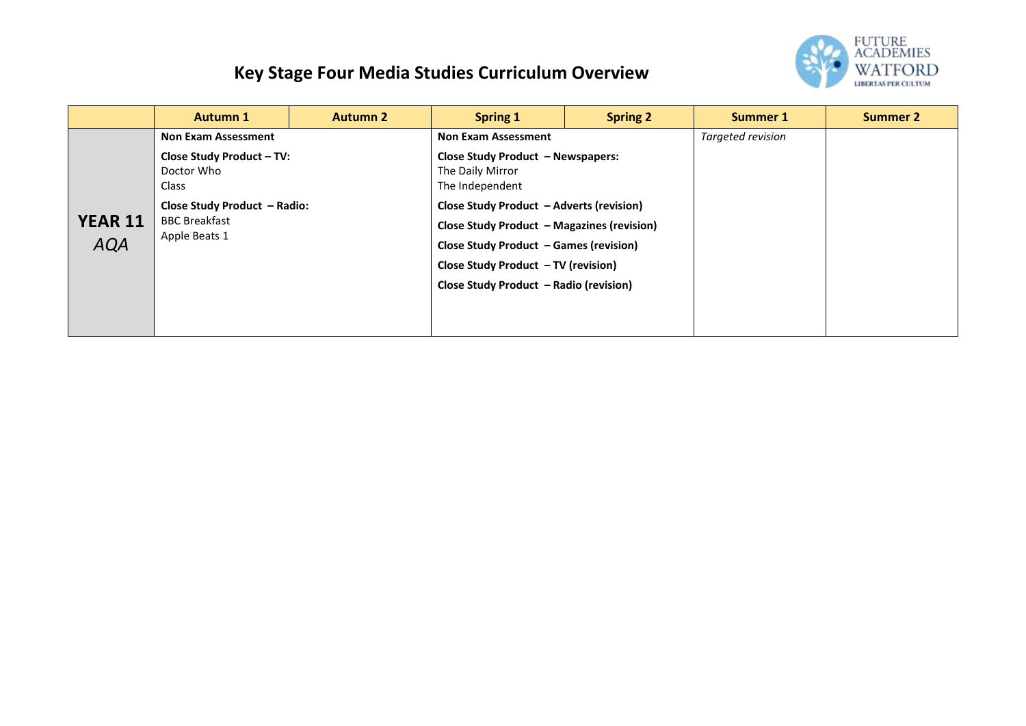## **Key Stage Four Media Studies Curriculum Overview**



|                              | <b>Autumn 1</b>                                                       | <b>Autumn 2</b> | Spring 1                                                                                                                                                                                                                 | <b>Spring 2</b> | Summer 1          | <b>Summer 2</b> |
|------------------------------|-----------------------------------------------------------------------|-----------------|--------------------------------------------------------------------------------------------------------------------------------------------------------------------------------------------------------------------------|-----------------|-------------------|-----------------|
| <b>YEAR 11</b><br><b>AQA</b> | <b>Non Exam Assessment</b>                                            |                 | <b>Non Exam Assessment</b>                                                                                                                                                                                               |                 | Targeted revision |                 |
|                              | <b>Close Study Product - TV:</b><br>Doctor Who<br>Class               |                 | <b>Close Study Product - Newspapers:</b><br>The Daily Mirror<br>The Independent                                                                                                                                          |                 |                   |                 |
|                              | Close Study Product - Radio:<br><b>BBC Breakfast</b><br>Apple Beats 1 |                 | Close Study Product - Adverts (revision)<br><b>Close Study Product - Magazines (revision)</b><br>Close Study Product - Games (revision)<br>Close Study Product - TV (revision)<br>Close Study Product - Radio (revision) |                 |                   |                 |